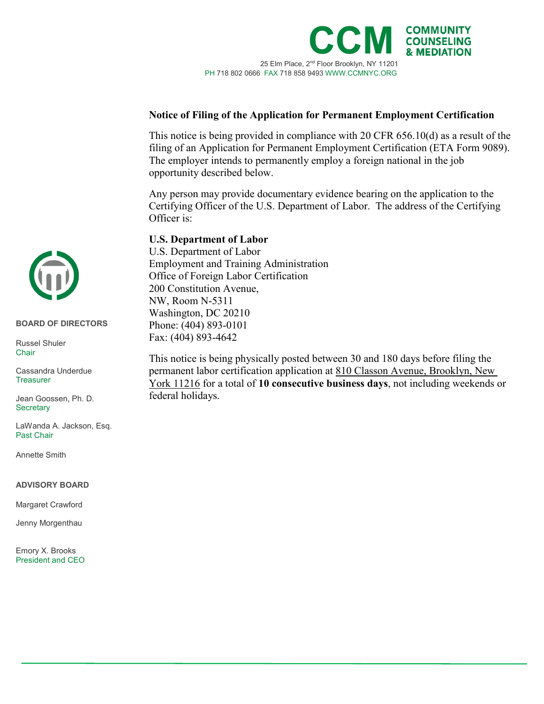

## **Notice of Filing of the Application for Permanent Employment Certification**

This notice is being provided in compliance with 20 CFR 656.10(d) as a result of the filing of an Application for Permanent Employment Certification (ETA Form 9089). The employer intends to permanently employ a foreign national in the job opportunity described below.

Any person may provide documentary evidence bearing on the application to the Certifying Officer of the U.S. Department of Labor. The address of the Certifying Officer is:

## **U.S. Department of Labor**

U.S. Department of Labor Employment and Training Administration Office of Foreign Labor Certification 200 Constitution Avenue, NW, Room N-5311 Washington, DC 20210 Phone: (404) 893-0101 Fax: (404) 893-4642

This notice is being physically posted between 30 and 180 days before filing the permanent labor certification application at 810 Classon Avenue, Brooklyn, New York 11216 for a total of **10 consecutive business days**, not including weekends or federal holidays.



#### **BOARD OF DIRECTORS BOARD OF DIRECTORS**

Russel Shuler Russel Shuler Chair Chair

Cassandra Underdue Cassandra Underdue Treasurer Treasurer

Jean Goossen, Ph.D. Jean Goossen, Ph. D. Secretary Secretary

LaWanda A. Jackson, Esq. LaWanda A. Jackson, Esq. Past Chair Past Chair

Annette Smith Annette Smith

### **ADVISORY BOARD ADVISORY BOARD**

Margaret Crawford Margaret Crawford

Jenny Morgenthau Jenny Morgenthau

Emory X. Brooks Emory X. Brooks President and CEO President and CEO